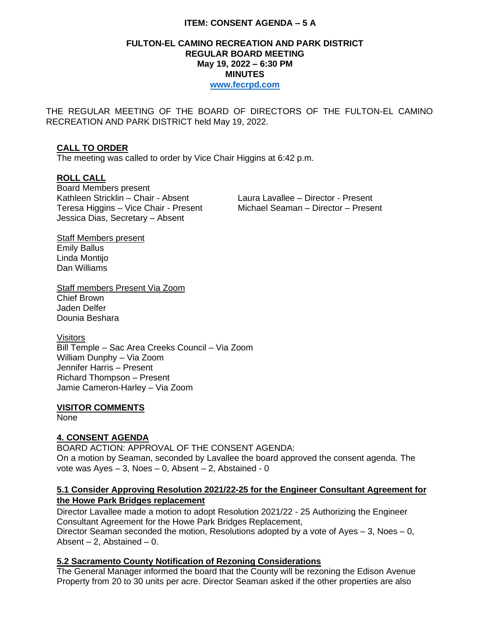### **ITEM: CONSENT AGENDA – 5 A**

### **FULTON-EL CAMINO RECREATION AND PARK DISTRICT REGULAR BOARD MEETING May 19, 2022 – 6:30 PM MINUTES [www.fecrpd.com](http://www.fecrpd.com/)**

THE REGULAR MEETING OF THE BOARD OF DIRECTORS OF THE FULTON-EL CAMINO RECREATION AND PARK DISTRICT held May 19, 2022.

### **CALL TO ORDER**

The meeting was called to order by Vice Chair Higgins at 6:42 p.m.

#### **ROLL CALL**

Board Members present Kathleen Stricklin – Chair - Absent Laura Lavallee – Director - Present Teresa Higgins – Vice Chair - Present Michael Seaman – Director – Present Jessica Dias, Secretary – Absent

Staff Members present Emily Ballus Linda Montijo Dan Williams

Staff members Present Via Zoom Chief Brown Jaden Delfer Dounia Beshara

#### **Visitors**

Bill Temple – Sac Area Creeks Council – Via Zoom William Dunphy – Via Zoom Jennifer Harris – Present Richard Thompson – Present Jamie Cameron-Harley – Via Zoom

#### **VISITOR COMMENTS**

None

### **4. CONSENT AGENDA**

BOARD ACTION: APPROVAL OF THE CONSENT AGENDA: On a motion by Seaman, seconded by Lavallee the board approved the consent agenda. The vote was Ayes – 3, Noes – 0, Absent – 2, Abstained - 0

### **5.1 Consider Approving Resolution 2021/22-25 for the Engineer Consultant Agreement for the Howe Park Bridges replacement**

Director Lavallee made a motion to adopt Resolution 2021/22 - 25 Authorizing the Engineer Consultant Agreement for the Howe Park Bridges Replacement, Director Seaman seconded the motion, Resolutions adopted by a vote of Ayes  $-3$ , Noes  $-0$ , Absent  $-2$ . Abstained  $-0$ .

# **5.2 Sacramento County Notification of Rezoning Considerations**

The General Manager informed the board that the County will be rezoning the Edison Avenue Property from 20 to 30 units per acre. Director Seaman asked if the other properties are also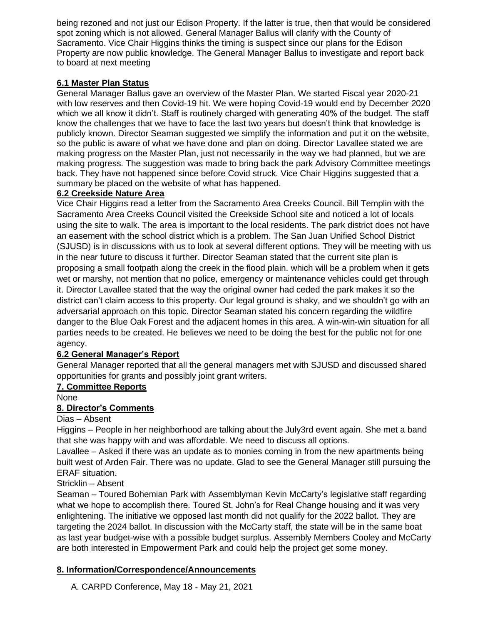being rezoned and not just our Edison Property. If the latter is true, then that would be considered spot zoning which is not allowed. General Manager Ballus will clarify with the County of Sacramento. Vice Chair Higgins thinks the timing is suspect since our plans for the Edison Property are now public knowledge. The General Manager Ballus to investigate and report back to board at next meeting

## **6.1 Master Plan Status**

General Manager Ballus gave an overview of the Master Plan. We started Fiscal year 2020-21 with low reserves and then Covid-19 hit. We were hoping Covid-19 would end by December 2020 which we all know it didn't. Staff is routinely charged with generating 40% of the budget. The staff know the challenges that we have to face the last two years but doesn't think that knowledge is publicly known. Director Seaman suggested we simplify the information and put it on the website, so the public is aware of what we have done and plan on doing. Director Lavallee stated we are making progress on the Master Plan, just not necessarily in the way we had planned, but we are making progress. The suggestion was made to bring back the park Advisory Committee meetings back. They have not happened since before Covid struck. Vice Chair Higgins suggested that a summary be placed on the website of what has happened.

### **6.2 Creekside Nature Area**

Vice Chair Higgins read a letter from the Sacramento Area Creeks Council. Bill Templin with the Sacramento Area Creeks Council visited the Creekside School site and noticed a lot of locals using the site to walk. The area is important to the local residents. The park district does not have an easement with the school district which is a problem. The San Juan Unified School District (SJUSD) is in discussions with us to look at several different options. They will be meeting with us in the near future to discuss it further. Director Seaman stated that the current site plan is proposing a small footpath along the creek in the flood plain. which will be a problem when it gets wet or marshy, not mention that no police, emergency or maintenance vehicles could get through it. Director Lavallee stated that the way the original owner had ceded the park makes it so the district can't claim access to this property. Our legal ground is shaky, and we shouldn't go with an adversarial approach on this topic. Director Seaman stated his concern regarding the wildfire danger to the Blue Oak Forest and the adjacent homes in this area. A win-win-win situation for all parties needs to be created. He believes we need to be doing the best for the public not for one agency.

# **6.2 General Manager's Report**

General Manager reported that all the general managers met with SJUSD and discussed shared opportunities for grants and possibly joint grant writers.

### **7. Committee Reports**

None

# **8. Director's Comments**

### Dias – Absent

Higgins – People in her neighborhood are talking about the July3rd event again. She met a band that she was happy with and was affordable. We need to discuss all options.

Lavallee – Asked if there was an update as to monies coming in from the new apartments being built west of Arden Fair. There was no update. Glad to see the General Manager still pursuing the ERAF situation.

### Stricklin – Absent

Seaman – Toured Bohemian Park with Assemblyman Kevin McCarty's legislative staff regarding what we hope to accomplish there. Toured St. John's for Real Change housing and it was very enlightening. The initiative we opposed last month did not qualify for the 2022 ballot. They are targeting the 2024 ballot. In discussion with the McCarty staff, the state will be in the same boat as last year budget-wise with a possible budget surplus. Assembly Members Cooley and McCarty are both interested in Empowerment Park and could help the project get some money.

### **8. Information/Correspondence/Announcements**

A. CARPD Conference, May 18 - May 21, 2021